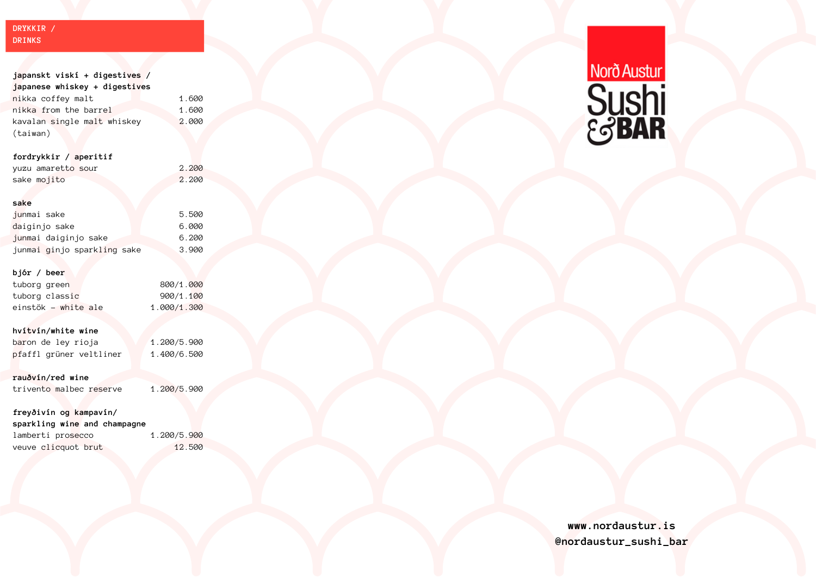# **DRYKKIR / DRINKS**

| j <mark>apanskt viskí + digestives /</mark> |             |
|---------------------------------------------|-------------|
| japanese whiskey + digestives               |             |
| <mark>nikka coffey malt</mark>              | 1.600       |
| nikka from the barrel                       | 1.600       |
| kavalan single malt whiskey                 | 2.000       |
| (taiwan)                                    |             |
|                                             |             |
| fordrykkir / aperitif                       |             |
| yuzu amaretto sour                          | 2.200       |
| sake mojito                                 | 2.200       |
|                                             |             |
| sake                                        |             |
| junmai sake                                 | 5.500       |
| <mark>d</mark> aiginjo sake                 | 6.000       |
| junmai daiginjo sake                        | 6.200       |
| junmai ginjo sparkling sake                 | 3.900       |
|                                             |             |
| bjór / beer                                 |             |
| tuborg green                                | 800/1.000   |
| tuborg classic                              | 900/1.100   |
| einstök – white ale                         | 1.000/1.300 |
|                                             |             |
| hví <mark>tv</mark> ín/white wine           |             |
| b <mark>ar</mark> on de ley rioja           | 1.200/5.900 |
| pfaffl grüner veltliner                     | 1.400/6.500 |
|                                             |             |
| rauðvín/red wine                            |             |
| trivento malbec reserve                     | 1.200/5.900 |
|                                             |             |
| freyðivín og kampavín/                      |             |
| sparkling wi <mark>ne</mark> and champagne  |             |
| lamberti prosecco                           | 1.200/5.900 |
| veuve clicquot brut                         | 12.500      |



# **www.nordaustur.is @nordaustur\_sushi\_bar**